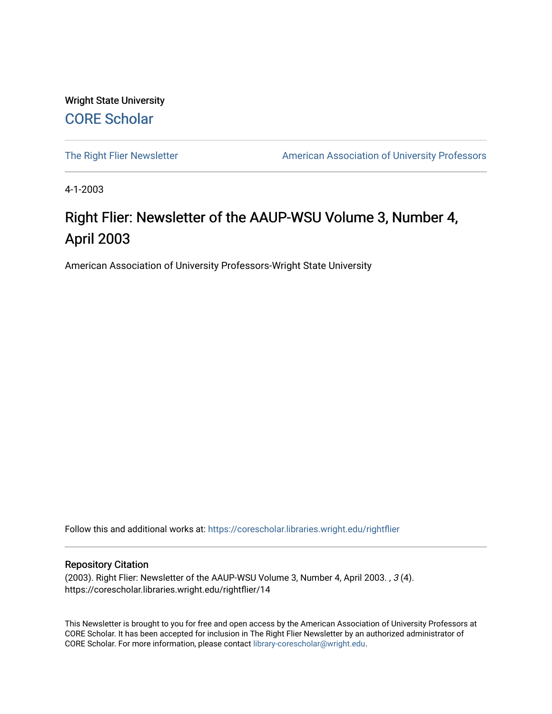Wright State University [CORE Scholar](https://corescholar.libraries.wright.edu/)

[The Right Flier Newsletter](https://corescholar.libraries.wright.edu/rightflier) **American Association of University Professors** 

4-1-2003

# Right Flier: Newsletter of the AAUP-WSU Volume 3, Number 4, April 2003

American Association of University Professors-Wright State University

Follow this and additional works at: [https://corescholar.libraries.wright.edu/rightflier](https://corescholar.libraries.wright.edu/rightflier?utm_source=corescholar.libraries.wright.edu%2Frightflier%2F14&utm_medium=PDF&utm_campaign=PDFCoverPages) 

#### Repository Citation

(2003). Right Flier: Newsletter of the AAUP-WSU Volume 3, Number 4, April 2003. , 3 (4). https://corescholar.libraries.wright.edu/rightflier/14

This Newsletter is brought to you for free and open access by the American Association of University Professors at CORE Scholar. It has been accepted for inclusion in The Right Flier Newsletter by an authorized administrator of CORE Scholar. For more information, please contact [library-corescholar@wright.edu](mailto:library-corescholar@wright.edu).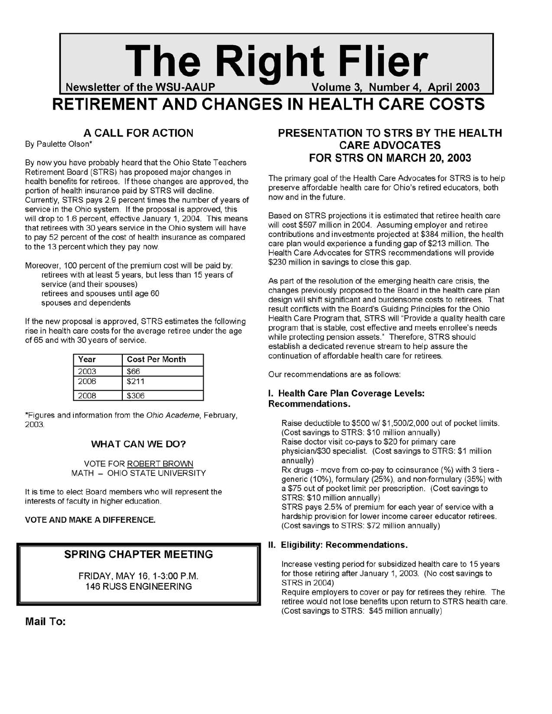# **The Right Flier Server of the WSU-AAUP RIGHT Volume 3, Number 4, April 2003 RETIREMENT AND CHANGES IN HEALTH CARE COSTS**

# **A CALL FOR ACTION**

By Paulette Olson\*

By now you have probably heard that the Ohio State Teachers Retirement Board (STRS) has proposed major changes in health benefits for retirees. If these changes are approved, the portion of health insurance paid by STRS will decline. Currently, STRS pays 2.9 percent times the number of years of service in the Ohio system. If the proposal is approved, this will drop to 1.6 percent, effective January 1, 2004. This means that retirees with 30 years service in the Ohio system will have to pay 52 percent of the cost of health insurance as compared to the 13 percent which they pay now.

Moreover, 100 percent of the premium cost will be paid by: retirees with at least 5 years, but less than 15 years of service (and their spouses) retirees and spouses until age 60 spouses and dependents

If the new proposal is approved, STRS estimates the following rise in health care costs for the average retiree under the age of 65 and with 30 years of service.

| Year | <b>Cost Per Month</b> |
|------|-----------------------|
| 2003 | \$66                  |
| 2006 | \$211                 |
| 2008 | \$306                 |

\*Figures and information from the Ohio Academe, February, 2003.

#### **WHAT CAN WE DO?**

VOTE FOR ROBERT BROWN MATH - OHIO STATE UNIVERSITY

It is time to elect Board members who will represent the interests of faculty in higher education.

#### **VOTE AND MAKE A DIFFERENCE.**

### **SPRING CHAPTER MEETING**

**FRIDAY, MAY** 16,1-3:00 P.M. **146 RUSS ENGINEERING** 

**Mail To:** 

# **PRESENTATION TO STRS BY THE HEALTH CARE ADVOCATES FOR STRS ON MARCH 20, 2003**

The primary goal of the Health Care Advocates for STRS is to help preserve affordable health care for Ohio's retired educators, both now and in the future. '

Based on STRS projections it is estimated that retiree health care will cost \$597 million in 2004. Assuming employer and retiree contributions and investments projected at \$384 million, the health care plan would experience a funding gap of \$213 million. The Health Care Advocates for STRS recommendations will provide \$230 million in savings to close this gap.

As part of the resolution of the emerging health care crisis, the changes previously proposed to the Board in the health care plan design will shift significant and burdensome costs to retirees. That result conflicts with the Board's Guiding Principles for the Ohio Health Care Program that, STRS will "Provide a quality health care program that is stable, cost effective and meets enrollee's needs while protecting pension assets." Therefore, STRS should establish a dedicated revenue stream to help assure the continuation of affordable health care for retirees.

Our recommendations are as follows:

#### **I. Health Care Plan Coverage Levels: Recommendations.**

Raise deductible to \$500 *wi* \$1 ,500/2,000 out of pocket limits. (Cost savings to STRS: \$10 million annually) Raise doctor visit co-pays to \$20 for primary care physician/\$30 specialist. (Cost savings to STRS: \$1 million annually)

Rx drugs - move from co-pay to coinsurance (%) with 3 tiers generic (10%), formulary (25%), and non-formulary (35%) with a \$75 out of pocket limit per prescription. (Cost savings to STRS: \$10 million annually)

STRS pays 2.5% of premium for each year of service with a hardship provision for lower income career educator retirees. (Cost savings to STRS: \$72 million annually)

#### **II. Eligibility: Recommendations.**

Increase vesting period for subsidized health care to 15 years for those retiring after January 1, 2003. (No cost savings to STRS in 2004)

Require employers to cover or pay for retirees they rehire. The retiree would not lose benefits upon return to STRS health care. (Cost savings to STRS: \$45 million annually)